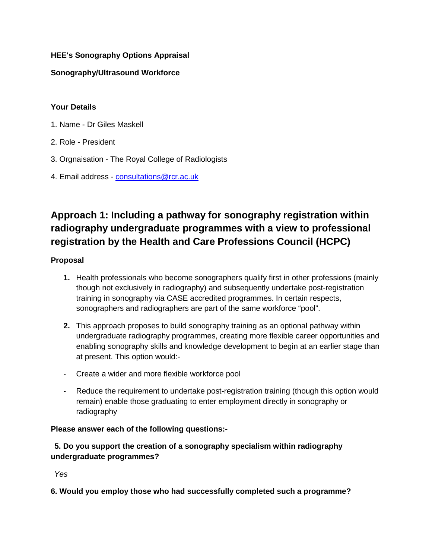# **HEE's Sonography Options Appraisal**

## **Sonography/Ultrasound Workforce**

## **Your Details**

- 1. Name Dr Giles Maskell
- 2. Role President
- 3. Orgnaisation The Royal College of Radiologists
- 4. Email address [consultations@rcr.ac.uk](mailto:consultations@rcr.ac.uk)

# **Approach 1: Including a pathway for sonography registration within radiography undergraduate programmes with a view to professional registration by the Health and Care Professions Council (HCPC)**

# **Proposal**

- **1.** Health professionals who become sonographers qualify first in other professions (mainly though not exclusively in radiography) and subsequently undertake post-registration training in sonography via CASE accredited programmes. In certain respects, sonographers and radiographers are part of the same workforce "pool".
- **2.** This approach proposes to build sonography training as an optional pathway within undergraduate radiography programmes, creating more flexible career opportunities and enabling sonography skills and knowledge development to begin at an earlier stage than at present. This option would:-
- Create a wider and more flexible workforce pool
- Reduce the requirement to undertake post-registration training (though this option would remain) enable those graduating to enter employment directly in sonography or radiography

## **Please answer each of the following questions:-**

# **5. Do you support the creation of a sonography specialism within radiography undergraduate programmes?**

*Yes*

**6. Would you employ those who had successfully completed such a programme?**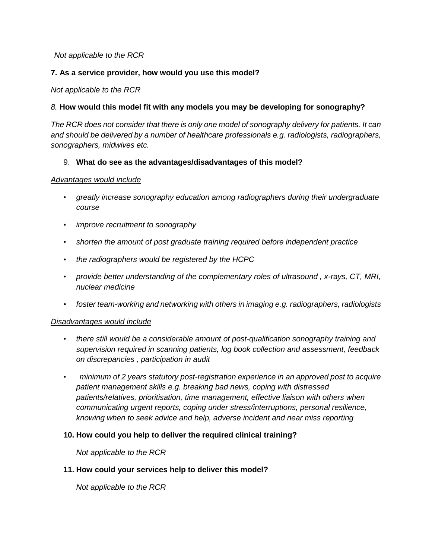#### *Not applicable to the RCR*

#### **7. As a service provider, how would you use this model?**

*Not applicable to the RCR*

### *8.* **How would this model fit with any models you may be developing for sonography?**

*The RCR does not consider that there is only one model of sonography delivery for patients. It can and should be delivered by a number of healthcare professionals e.g. radiologists, radiographers, sonographers, midwives etc.*

#### 9. **What do see as the advantages/disadvantages of this model?**

#### *Advantages would include*

- *greatly increase sonography education among radiographers during their undergraduate course*
- *improve recruitment to sonography*
- *shorten the amount of post graduate training required before independent practice*
- *the radiographers would be registered by the HCPC*
- *provide better understanding of the complementary roles of ultrasound , x-rays, CT, MRI, nuclear medicine*
- *foster team-working and networking with others in imaging e.g. radiographers, radiologists*

#### *Disadvantages would include*

- *there still would be a considerable amount of post-qualification sonography training and supervision required in scanning patients, log book collection and assessment, feedback on discrepancies , participation in audit*
- *minimum of 2 years statutory post-registration experience in an approved post to acquire patient management skills e.g. breaking bad news, coping with distressed patients/relatives, prioritisation, time management, effective liaison with others when communicating urgent reports, coping under stress/interruptions, personal resilience, knowing when to seek advice and help, adverse incident and near miss reporting*

#### **10. How could you help to deliver the required clinical training?**

*Not applicable to the RCR* 

#### **11. How could your services help to deliver this model?**

*Not applicable to the RCR*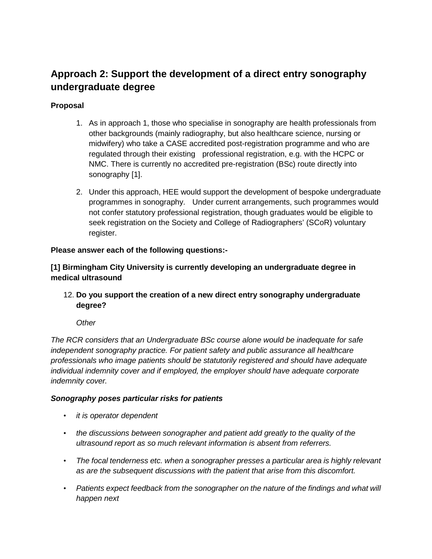# **Approach 2: Support the development of a direct entry sonography undergraduate degree**

## **Proposal**

- 1. As in approach 1, those who specialise in sonography are health professionals from other backgrounds (mainly radiography, but also healthcare science, nursing or midwifery) who take a CASE accredited post-registration programme and who are regulated through their existing professional registration, e.g. with the HCPC or NMC. There is currently no accredited pre-registration (BSc) route directly into sonography [1].
- 2. Under this approach, HEE would support the development of bespoke undergraduate programmes in sonography. Under current arrangements, such programmes would not confer statutory professional registration, though graduates would be eligible to seek registration on the Society and College of Radiographers' (SCoR) voluntary register.

### **Please answer each of the following questions:-**

**[1] Birmingham City University is currently developing an undergraduate degree in medical ultrasound**

12. **Do you support the creation of a new direct entry sonography undergraduate degree?**

*Other* 

*The RCR considers that an Undergraduate BSc course alone would be inadequate for safe independent sonography practice. For patient safety and public assurance all healthcare professionals who image patients should be statutorily registered and should have adequate individual indemnity cover and if employed, the employer should have adequate corporate indemnity cover.* 

#### *Sonography poses particular risks for patients*

- *it is operator dependent*
- *the discussions between sonographer and patient add greatly to the quality of the ultrasound report as so much relevant information is absent from referrers.*
- *The focal tenderness etc. when a sonographer presses a particular area is highly relevant as are the subsequent discussions with the patient that arise from this discomfort.*
- Patients expect feedback from the sonographer on the nature of the findings and what will *happen next*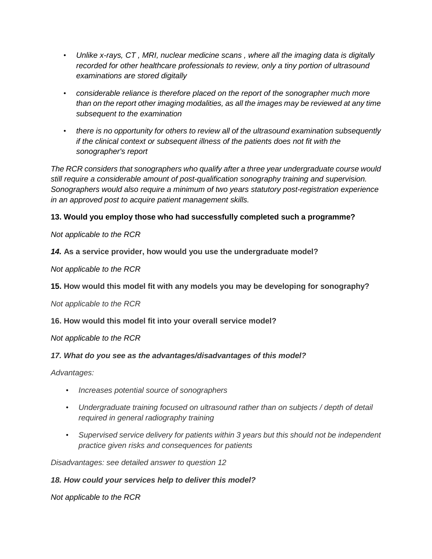- *Unlike x-rays, CT , MRI, nuclear medicine scans , where all the imaging data is digitally recorded for other healthcare professionals to review, only a tiny portion of ultrasound examinations are stored digitally*
- *considerable reliance is therefore placed on the report of the sonographer much more than on the report other imaging modalities, as all the images may be reviewed at any time subsequent to the examination*
- *there is no opportunity for others to review all of the ultrasound examination subsequently if the clinical context or subsequent illness of the patients does not fit with the sonographer's report*

*The RCR considers that sonographers who qualify after a three year undergraduate course would still require a considerable amount of post-qualification sonography training and supervision. Sonographers would also require a minimum of two years statutory post-registration experience in an approved post to acquire patient management skills.*

# **13. Would you employ those who had successfully completed such a programme?**

*Not applicable to the RCR*

*14.* **As a service provider, how would you use the undergraduate model?** 

*Not applicable to the RCR*

**15. How would this model fit with any models you may be developing for sonography?** 

*Not applicable to the RCR*

**16. How would this model fit into your overall service model?** 

*Not applicable to the RCR*

# *17. What do you see as the advantages/disadvantages of this model?*

*Advantages:*

- *Increases potential source of sonographers*
- *Undergraduate training focused on ultrasound rather than on subjects / depth of detail required in general radiography training*
- *Supervised service delivery for patients within 3 years but this should not be independent practice given risks and consequences for patients*

*Disadvantages: see detailed answer to question 12*

# *18. How could your services help to deliver this model?*

*Not applicable to the RCR*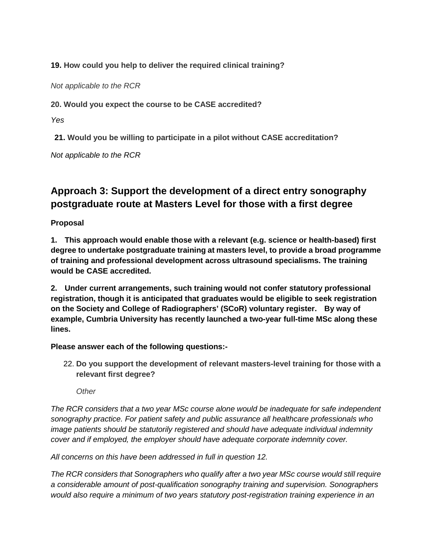**19. How could you help to deliver the required clinical training?** 

*Not applicable to the RCR* 

**20. Would you expect the course to be CASE accredited?** 

*Yes* 

**21. Would you be willing to participate in a pilot without CASE accreditation?** 

*Not applicable to the RCR*

# **Approach 3: Support the development of a direct entry sonography postgraduate route at Masters Level for those with a first degree**

**Proposal**

**1. This approach would enable those with a relevant (e.g. science or health-based) first degree to undertake postgraduate training at masters level, to provide a broad programme of training and professional development across ultrasound specialisms. The training would be CASE accredited.** 

**2. Under current arrangements, such training would not confer statutory professional registration, though it is anticipated that graduates would be eligible to seek registration on the Society and College of Radiographers' (SCoR) voluntary register. By way of example, Cumbria University has recently launched a two-year full-time MSc along these lines.**

**Please answer each of the following questions:-**

22. **Do you support the development of relevant masters-level training for those with a relevant first degree?**

*Other*

*The RCR considers that a two year MSc course alone would be inadequate for safe independent sonography practice. For patient safety and public assurance all healthcare professionals who image patients should be statutorily registered and should have adequate individual indemnity cover and if employed, the employer should have adequate corporate indemnity cover.* 

*All concerns on this have been addressed in full in question 12.* 

*The RCR considers that Sonographers who qualify after a two year MSc course would still require a considerable amount of post-qualification sonography training and supervision. Sonographers would also require a minimum of two years statutory post-registration training experience in an*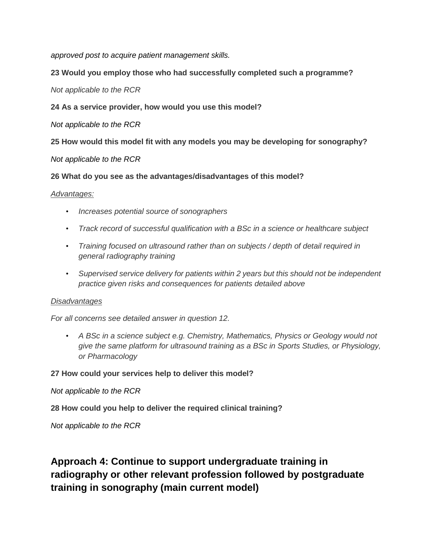*approved post to acquire patient management skills.* 

**23 Would you employ those who had successfully completed such a programme?** 

*Not applicable to the RCR*

**24 As a service provider, how would you use this model?** 

*Not applicable to the RCR*

**25 How would this model fit with any models you may be developing for sonography?**

*Not applicable to the RCR*

**26 What do you see as the advantages/disadvantages of this model?** 

#### *Advantages:*

- *Increases potential source of sonographers*
- *Track record of successful qualification with a BSc in a science or healthcare subject*
- *Training focused on ultrasound rather than on subjects / depth of detail required in general radiography training*
- *Supervised service delivery for patients within 2 years but this should not be independent practice given risks and consequences for patients detailed above*

#### *Disadvantages*

*For all concerns see detailed answer in question 12.* 

• *A BSc in a science subject e.g. Chemistry, Mathematics, Physics or Geology would not give the same platform for ultrasound training as a BSc in Sports Studies, or Physiology, or Pharmacology*

**27 How could your services help to deliver this model?** 

#### *Not applicable to the RCR*

**28 How could you help to deliver the required clinical training?** 

*Not applicable to the RCR*

**Approach 4: Continue to support undergraduate training in radiography or other relevant profession followed by postgraduate training in sonography (main current model)**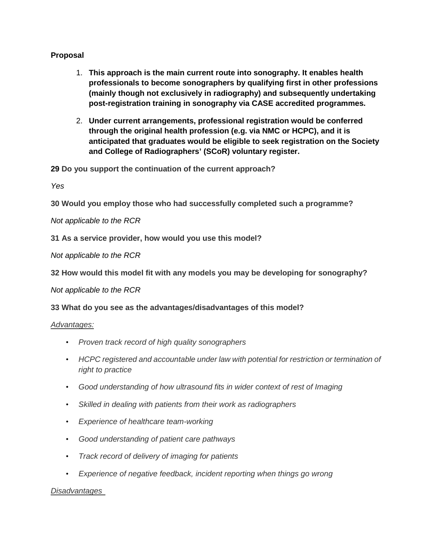### **Proposal**

- 1. **This approach is the main current route into sonography. It enables health professionals to become sonographers by qualifying first in other professions (mainly though not exclusively in radiography) and subsequently undertaking post-registration training in sonography via CASE accredited programmes.**
- 2. **Under current arrangements, professional registration would be conferred through the original health profession (e.g. via NMC or HCPC), and it is anticipated that graduates would be eligible to seek registration on the Society and College of Radiographers' (SCoR) voluntary register.**

**29 Do you support the continuation of the current approach?** 

*Yes*

**30 Would you employ those who had successfully completed such a programme?** 

*Not applicable to the RCR*

**31 As a service provider, how would you use this model?** 

*Not applicable to the RCR*

**32 How would this model fit with any models you may be developing for sonography?**

*Not applicable to the RCR*

**33 What do you see as the advantages/disadvantages of this model?** 

#### *Advantages:*

- *Proven track record of high quality sonographers*
- *HCPC registered and accountable under law with potential for restriction or termination of right to practice*
- *Good understanding of how ultrasound fits in wider context of rest of Imaging*
- *Skilled in dealing with patients from their work as radiographers*
- *Experience of healthcare team-working*
- *Good understanding of patient care pathways*
- *Track record of delivery of imaging for patients*
- *Experience of negative feedback, incident reporting when things go wrong*

#### *Disadvantages*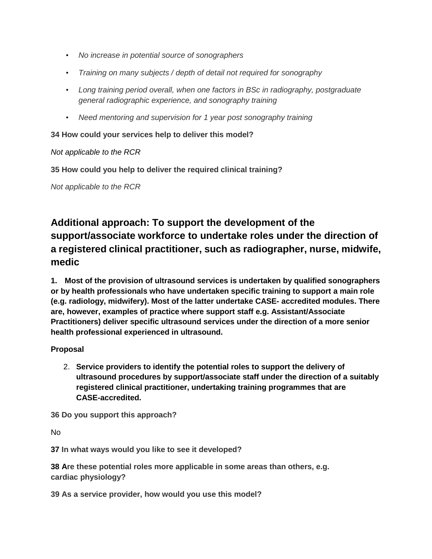- *No increase in potential source of sonographers*
- *Training on many subjects / depth of detail not required for sonography*
- *Long training period overall, when one factors in BSc in radiography, postgraduate general radiographic experience, and sonography training*
- *Need mentoring and supervision for 1 year post sonography training*

### **34 How could your services help to deliver this model?**

*Not applicable to the RCR* 

**35 How could you help to deliver the required clinical training?**

*Not applicable to the RCR*

# **Additional approach: To support the development of the support/associate workforce to undertake roles under the direction of a registered clinical practitioner, such as radiographer, nurse, midwife, medic**

**1. Most of the provision of ultrasound services is undertaken by qualified sonographers or by health professionals who have undertaken specific training to support a main role (e.g. radiology, midwifery). Most of the latter undertake CASE- accredited modules. There are, however, examples of practice where support staff e.g. Assistant/Associate Practitioners) deliver specific ultrasound services under the direction of a more senior health professional experienced in ultrasound.**

## **Proposal**

2. **Service providers to identify the potential roles to support the delivery of ultrasound procedures by support/associate staff under the direction of a suitably registered clinical practitioner, undertaking training programmes that are CASE-accredited.**

**36 Do you support this approach?** 

No

**37 In what ways would you like to see it developed?** 

**38 Are these potential roles more applicable in some areas than others, e.g. cardiac physiology?**

**39 As a service provider, how would you use this model?**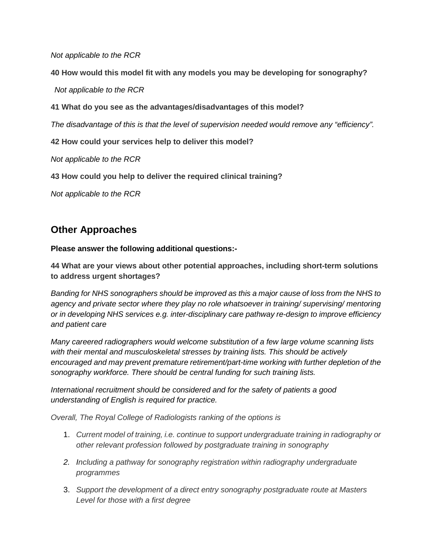*Not applicable to the RCR*

**40 How would this model fit with any models you may be developing for sonography?**

*Not applicable to the RCR*

**41 What do you see as the advantages/disadvantages of this model?**

*The disadvantage of this is that the level of supervision needed would remove any "efficiency".* 

**42 How could your services help to deliver this model?** 

*Not applicable to the RCR*

**43 How could you help to deliver the required clinical training?**

*Not applicable to the RCR*

# **Other Approaches**

**Please answer the following additional questions:-**

**44 What are your views about other potential approaches, including short-term solutions to address urgent shortages?** 

*Banding for NHS sonographers should be improved as this a major cause of loss from the NHS to agency and private sector where they play no role whatsoever in training/ supervising/ mentoring or in developing NHS services e.g. inter-disciplinary care pathway re-design to improve efficiency and patient care*

*Many careered radiographers would welcome substitution of a few large volume scanning lists with their mental and musculoskeletal stresses by training lists. This should be actively encouraged and may prevent premature retirement/part-time working with further depletion of the sonography workforce. There should be central funding for such training lists.*

*International recruitment should be considered and for the safety of patients a good understanding of English is required for practice.* 

*Overall, The Royal College of Radiologists ranking of the options is*

- 1. *Current model of training, i.e. continue to support undergraduate training in radiography or other relevant profession followed by postgraduate training in sonography*
- *2. Including a pathway for sonography registration within radiography undergraduate programmes*
- 3. *Support the development of a direct entry sonography postgraduate route at Masters Level for those with a first degree*